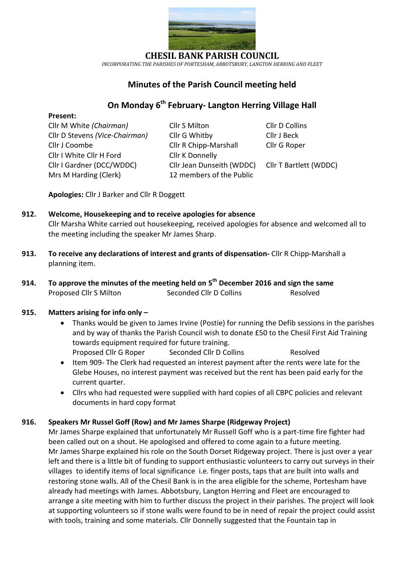

**CHESIL BANK PARISH COUNCIL**

*INCORPORATING THE PARISHES OF PORTESHAM, ABBOTSBURY, LANGTON HERRING AND FLEET*

## **Minutes of the Parish Council meeting held**

# **On Monday 6 th February- Langton Herring Village Hall**

### **Present:**

Cllr I White Cllr H Ford Cllr K Donnelly Mrs M Harding (Clerk)12 members of the Public

Cllr M White *(Chairman)* Cllr S Milton Cllr D Collins Cllr D Stevens *(Vice-Chairman)* Cllr G Whitby Cllr J Beck Cllr J Coombe Cllr R Chipp-Marshall Cllr G Roper Cllr I Gardner (DCC/WDDC) Cllr Jean Dunseith (WDDC) Cllr T Bartlett (WDDC)

**Apologies:** Cllr J Barker and Cllr R Doggett

### **912. Welcome, Housekeeping and to receive apologies for absence**

Cllr Marsha White carried out housekeeping, received apologies for absence and welcomed all to the meeting including the speaker Mr James Sharp.

- **913. To receive any declarations of interest and grants of dispensation-** Cllr R Chipp-Marshall a planning item.
- **914. To approve the minutes of the meeting held on 5 th December 2016 and sign the same** Proposed Cllr S Milton Seconded Cllr D Collins Resolved

### **915. Matters arising for info only –**

- Thanks would be given to James Irvine (Postie) for running the Defib sessions in the parishes and by way of thanks the Parish Council wish to donate £50 to the Chesil First Aid Training towards equipment required for future training. Proposed Cllr G Roper Seconded Cllr D Collins Resolved
- Item 909- The Clerk had requested an interest payment after the rents were late for the Glebe Houses, no interest payment was received but the rent has been paid early for the current quarter.
- Cllrs who had requested were supplied with hard copies of all CBPC policies and relevant documents in hard copy format

### **916. Speakers Mr Russel Goff (Row) and Mr James Sharpe (Ridgeway Project)**

Mr James Sharpe explained that unfortunately Mr Russell Goff who is a part-time fire fighter had been called out on a shout. He apologised and offered to come again to a future meeting. Mr James Sharpe explained his role on the South Dorset Ridgeway project. There is just over a year left and there is a little bit of funding to support enthusiastic volunteers to carry out surveys in their villages to identify items of local significance i.e. finger posts, taps that are built into walls and restoring stone walls. All of the Chesil Bank is in the area eligible for the scheme, Portesham have already had meetings with James. Abbotsbury, Langton Herring and Fleet are encouraged to arrange a site meeting with him to further discuss the project in their parishes. The project will look at supporting volunteers so if stone walls were found to be in need of repair the project could assist with tools, training and some materials. Cllr Donnelly suggested that the Fountain tap in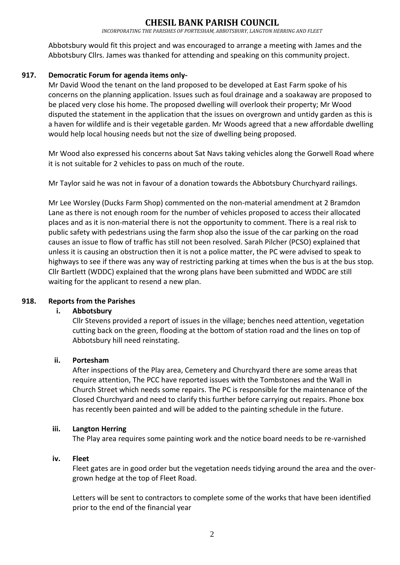## SIL BANK PARISH COUNC

*INCORPORATING THE PARISHES OF PORTESHAM, ABBOTSBURY, LANGTON HERRING AND FLEET*

Abbotsbury would fit this project and was encouraged to arrange a meeting with James and the Abbotsbury Cllrs. James was thanked for attending and speaking on this community project.

### **917. Democratic Forum for agenda items only-**

Mr David Wood the tenant on the land proposed to be developed at East Farm spoke of his concerns on the planning application. Issues such as foul drainage and a soakaway are proposed to be placed very close his home. The proposed dwelling will overlook their property; Mr Wood disputed the statement in the application that the issues on overgrown and untidy garden as this is a haven for wildlife and is their vegetable garden. Mr Woods agreed that a new affordable dwelling would help local housing needs but not the size of dwelling being proposed.

Mr Wood also expressed his concerns about Sat Navs taking vehicles along the Gorwell Road where it is not suitable for 2 vehicles to pass on much of the route.

Mr Taylor said he was not in favour of a donation towards the Abbotsbury Churchyard railings.

Mr Lee Worsley (Ducks Farm Shop) commented on the non-material amendment at 2 Bramdon Lane as there is not enough room for the number of vehicles proposed to access their allocated places and as it is non-material there is not the opportunity to comment. There is a real risk to public safety with pedestrians using the farm shop also the issue of the car parking on the road causes an issue to flow of traffic has still not been resolved. Sarah Pilcher (PCSO) explained that unless it is causing an obstruction then it is not a police matter, the PC were advised to speak to highways to see if there was any way of restricting parking at times when the bus is at the bus stop. Cllr Bartlett (WDDC) explained that the wrong plans have been submitted and WDDC are still waiting for the applicant to resend a new plan.

#### **918. Reports from the Parishes**

#### **i. Abbotsbury**

Cllr Stevens provided a report of issues in the village; benches need attention, vegetation cutting back on the green, flooding at the bottom of station road and the lines on top of Abbotsbury hill need reinstating.

#### **ii. Portesham**

After inspections of the Play area, Cemetery and Churchyard there are some areas that require attention, The PCC have reported issues with the Tombstones and the Wall in Church Street which needs some repairs. The PC is responsible for the maintenance of the Closed Churchyard and need to clarify this further before carrying out repairs. Phone box has recently been painted and will be added to the painting schedule in the future.

#### **iii. Langton Herring**

The Play area requires some painting work and the notice board needs to be re-varnished

#### **iv. Fleet**

Fleet gates are in good order but the vegetation needs tidying around the area and the overgrown hedge at the top of Fleet Road.

Letters will be sent to contractors to complete some of the works that have been identified prior to the end of the financial year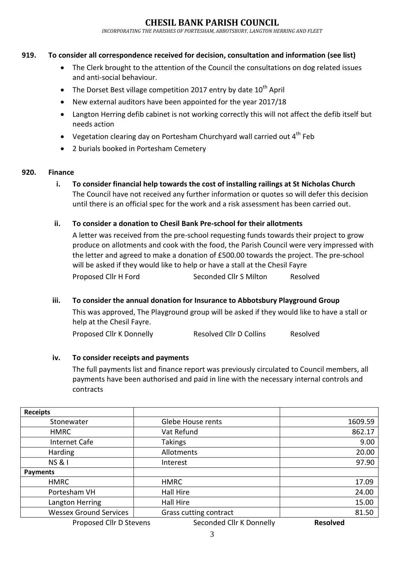## **IESIL BANK PARISH COUNCIL**

*INCORPORATING THE PARISHES OF PORTESHAM, ABBOTSBURY, LANGTON HERRING AND FLEET*

### **919. To consider all correspondence received for decision, consultation and information (see list)**

- The Clerk brought to the attention of the Council the consultations on dog related issues and anti-social behaviour.
- $\bullet$  The Dorset Best village competition 2017 entry by date  $10^{th}$  April
- New external auditors have been appointed for the year 2017/18
- Langton Herring defib cabinet is not working correctly this will not affect the defib itself but needs action
- Vegetation clearing day on Portesham Churchyard wall carried out  $4<sup>th</sup>$  Feb
- 2 burials booked in Portesham Cemetery

#### **920. Finance**

**i. To consider financial help towards the cost of installing railings at St Nicholas Church**  The Council have not received any further information or quotes so will defer this decision until there is an official spec for the work and a risk assessment has been carried out.

### **ii. To consider a donation to Chesil Bank Pre-school for their allotments**

A letter was received from the pre-school requesting funds towards their project to grow produce on allotments and cook with the food, the Parish Council were very impressed with the letter and agreed to make a donation of £500.00 towards the project. The pre-school will be asked if they would like to help or have a stall at the Chesil Fayre Proposed Cllr H Ford Seconded Cllr S Milton Resolved

#### **iii. To consider the annual donation for Insurance to Abbotsbury Playground Group**

This was approved, The Playground group will be asked if they would like to have a stall or help at the Chesil Fayre.

Proposed Cllr K Donnelly Resolved Cllr D Collins Resolved

#### **iv. To consider receipts and payments**

The full payments list and finance report was previously circulated to Council members, all payments have been authorised and paid in line with the necessary internal controls and contracts

| <b>Receipts</b>               |                          |                 |
|-------------------------------|--------------------------|-----------------|
| Stonewater                    | Glebe House rents        | 1609.59         |
| <b>HMRC</b>                   | Vat Refund               | 862.17          |
| Internet Cafe                 | <b>Takings</b>           | 9.00            |
| Harding                       | Allotments               | 20.00           |
| <b>NS&amp;I</b>               | Interest                 | 97.90           |
| <b>Payments</b>               |                          |                 |
| <b>HMRC</b>                   | <b>HMRC</b>              | 17.09           |
| Portesham VH                  | <b>Hall Hire</b>         | 24.00           |
| Langton Herring               | Hall Hire                | 15.00           |
| <b>Wessex Ground Services</b> | Grass cutting contract   | 81.50           |
| Proposed Cllr D Stevens       | Seconded Cllr K Donnelly | <b>Resolved</b> |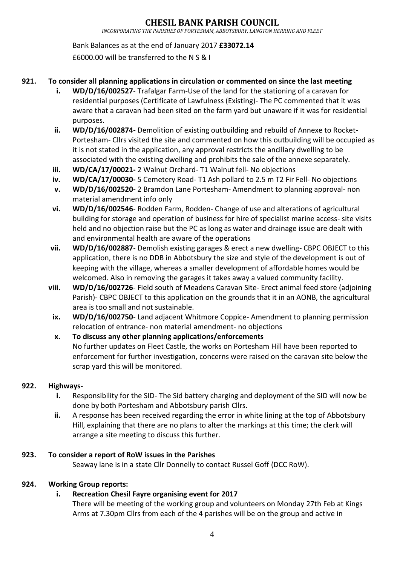Bank Balances as at the end of January 2017 **£33072.14** £6000.00 will be transferred to the N S & I

## **921. To consider all planning applications in circulation or commented on since the last meeting**

- **i. WD/D/16/002527** Trafalgar Farm-Use of the land for the stationing of a caravan for residential purposes (Certificate of Lawfulness (Existing)- The PC commented that it was aware that a caravan had been sited on the farm yard but unaware if it was for residential purposes.
- **ii. WD/D/16/002874-** Demolition of existing outbuilding and rebuild of Annexe to Rocket-Portesham- Cllrs visited the site and commented on how this outbuilding will be occupied as it is not stated in the application, any approval restricts the ancillary dwelling to be associated with the existing dwelling and prohibits the sale of the annexe separately.
- **iii. WD/CA/17/00021-** 2 Walnut Orchard- T1 Walnut fell- No objections
- **iv. WD/CA/17/00030-** 5 Cemetery Road- T1 Ash pollard to 2.5 m T2 Fir Fell- No objections
- **v. WD/D/16/002520-** 2 Bramdon Lane Portesham- Amendment to planning approval- non material amendment info only
- **vi. WD/D/16/002546** Rodden Farm, Rodden- Change of use and alterations of agricultural building for storage and operation of business for hire of specialist marine access- site visits held and no objection raise but the PC as long as water and drainage issue are dealt with and environmental health are aware of the operations
- **vii. WD/D/16/002887** Demolish existing garages & erect a new dwelling- CBPC OBJECT to this application, there is no DDB in Abbotsbury the size and style of the development is out of keeping with the village, whereas a smaller development of affordable homes would be welcomed. Also in removing the garages it takes away a valued community facility.
- **viii. WD/D/16/002726** Field south of Meadens Caravan Site- Erect animal feed store (adjoining Parish)- CBPC OBJECT to this application on the grounds that it in an AONB, the agricultural area is too small and not sustainable.
	- **ix. WD/D/16/002750** Land adjacent Whitmore Coppice- Amendment to planning permission relocation of entrance- non material amendment- no objections
	- **x. To discuss any other planning applications/enforcements** No further updates on Fleet Castle, the works on Portesham Hill have been reported to enforcement for further investigation, concerns were raised on the caravan site below the scrap yard this will be monitored.

## **922. Highways-**

- **i.** Responsibility for the SID- The Sid battery charging and deployment of the SID will now be done by both Portesham and Abbotsbury parish Cllrs.
- **ii.** A response has been received regarding the error in white lining at the top of Abbotsbury Hill, explaining that there are no plans to alter the markings at this time; the clerk will arrange a site meeting to discuss this further.

## **923. To consider a report of RoW issues in the Parishes**

Seaway lane is in a state Cllr Donnelly to contact Russel Goff (DCC RoW).

## **924. Working Group reports:**

## **i. Recreation Chesil Fayre organising event for 2017**

There will be meeting of the working group and volunteers on Monday 27th Feb at Kings Arms at 7.30pm Cllrs from each of the 4 parishes will be on the group and active in